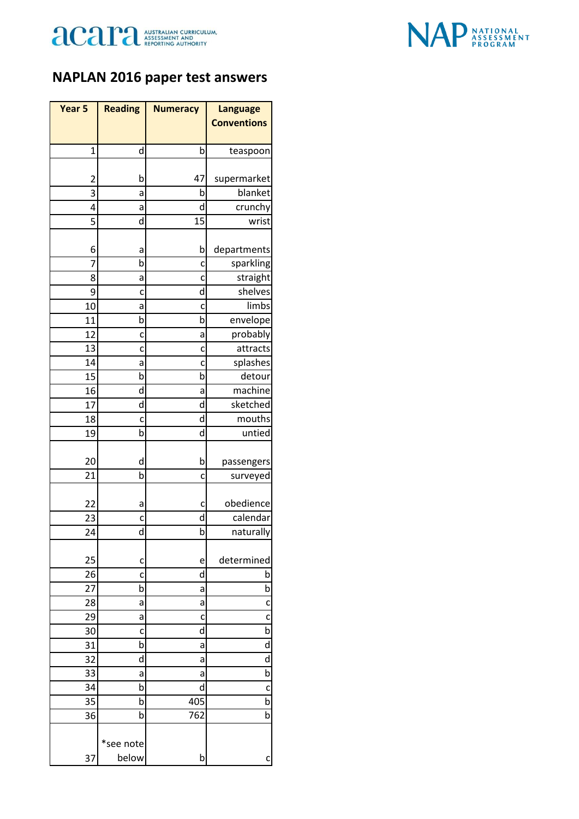



## **NAPLAN 2016 paper test answers**

| Year <sub>5</sub> | <b>Reading</b> | <b>Numeracy</b> | <b>Language</b>    |
|-------------------|----------------|-----------------|--------------------|
|                   |                |                 | <b>Conventions</b> |
|                   |                |                 |                    |
| 1                 | d              | b               | teaspoon           |
|                   |                |                 |                    |
| 2                 | b              | 47              | supermarket        |
| 3                 | а              | b<br>d          | blanket            |
| 4<br>5            | а<br>d         | 15              | crunchy<br>wrist   |
|                   |                |                 |                    |
| 6                 | а              | b               | departments        |
| 7                 | b              | c               | sparkling          |
| 8                 | а              | C               | straight           |
| 9                 | c              | d               | shelves            |
| 10                | а              | c               | limbs              |
| 11                | b              | b               | envelope           |
| 12                | c              | a               | probably           |
| 13                | c              | c               | attracts           |
| 14                | a              | C               | splashes           |
| 15                | b              | b               | detour             |
| 16                | d              | a               | machine            |
| 17                | d              | d               | sketched           |
| 18                | c              | d               | mouths             |
| 19                | b              | d               | untied             |
|                   |                |                 |                    |
| 20                | d              | b               | passengers         |
| 21                | b              | c               | surveyed           |
|                   |                |                 |                    |
| 22                | а              | c               | obedience          |
| 23                | c              | d               | calendar           |
| 24                | d              | b               | naturally          |
|                   |                |                 |                    |
| 25                | c              | e<br>d          | determined<br>b    |
| 26<br>27          | c<br>b         | a               | b                  |
| 28                | а              | а               | c                  |
| 29                | а              | c               | c                  |
| 30                | c              | d               | b                  |
| 31                | b              | а               | d                  |
| 32                | d              | а               | d                  |
| 33                | а              | а               | b                  |
| 34                | b              | d               | C                  |
| 35                | b              | 405             | b                  |
| 36                | b              | 762             | b                  |
|                   |                |                 |                    |
|                   | *see note      |                 |                    |
| 37                | below          | b               | c                  |